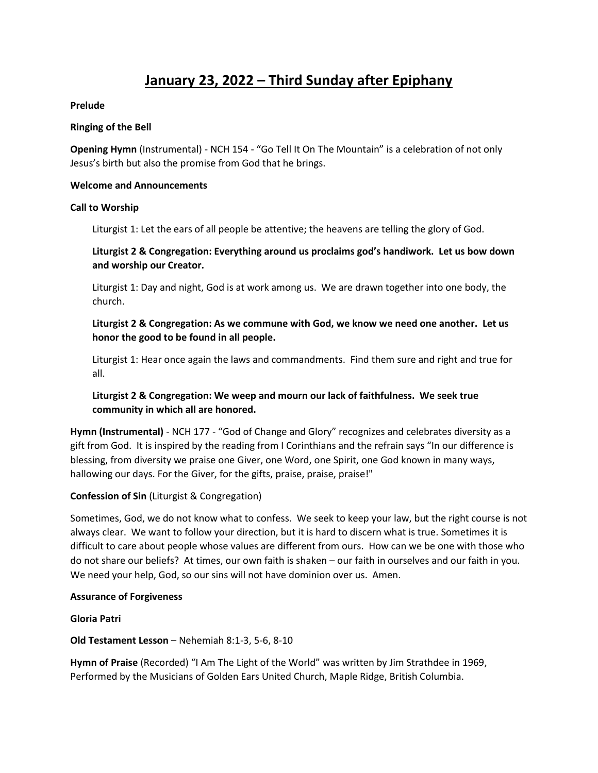# **January 23, 2022 – Third Sunday after Epiphany**

## **Prelude**

### **Ringing of the Bell**

**Opening Hymn** (Instrumental) - NCH 154 - "Go Tell It On The Mountain" is a celebration of not only Jesus's birth but also the promise from God that he brings.

### **Welcome and Announcements**

### **Call to Worship**

Liturgist 1: Let the ears of all people be attentive; the heavens are telling the glory of God.

# **Liturgist 2 & Congregation: Everything around us proclaims god's handiwork. Let us bow down and worship our Creator.**

Liturgist 1: Day and night, God is at work among us. We are drawn together into one body, the church.

# **Liturgist 2 & Congregation: As we commune with God, we know we need one another. Let us honor the good to be found in all people.**

Liturgist 1: Hear once again the laws and commandments. Find them sure and right and true for all.

# **Liturgist 2 & Congregation: We weep and mourn our lack of faithfulness. We seek true community in which all are honored.**

**Hymn (Instrumental)** - NCH 177 - "God of Change and Glory" recognizes and celebrates diversity as a gift from God. It is inspired by the reading from I Corinthians and the refrain says "In our difference is blessing, from diversity we praise one Giver, one Word, one Spirit, one God known in many ways, hallowing our days. For the Giver, for the gifts, praise, praise, praise!"

## **Confession of Sin** (Liturgist & Congregation)

Sometimes, God, we do not know what to confess. We seek to keep your law, but the right course is not always clear. We want to follow your direction, but it is hard to discern what is true. Sometimes it is difficult to care about people whose values are different from ours. How can we be one with those who do not share our beliefs? At times, our own faith is shaken – our faith in ourselves and our faith in you. We need your help, God, so our sins will not have dominion over us. Amen.

## **Assurance of Forgiveness**

**Gloria Patri**

## **Old Testament Lesson** – Nehemiah 8:1-3, 5-6, 8-10

**Hymn of Praise** (Recorded) "I Am The Light of the World" was written by Jim Strathdee in 1969, Performed by the Musicians of Golden Ears United Church, Maple Ridge, British Columbia.